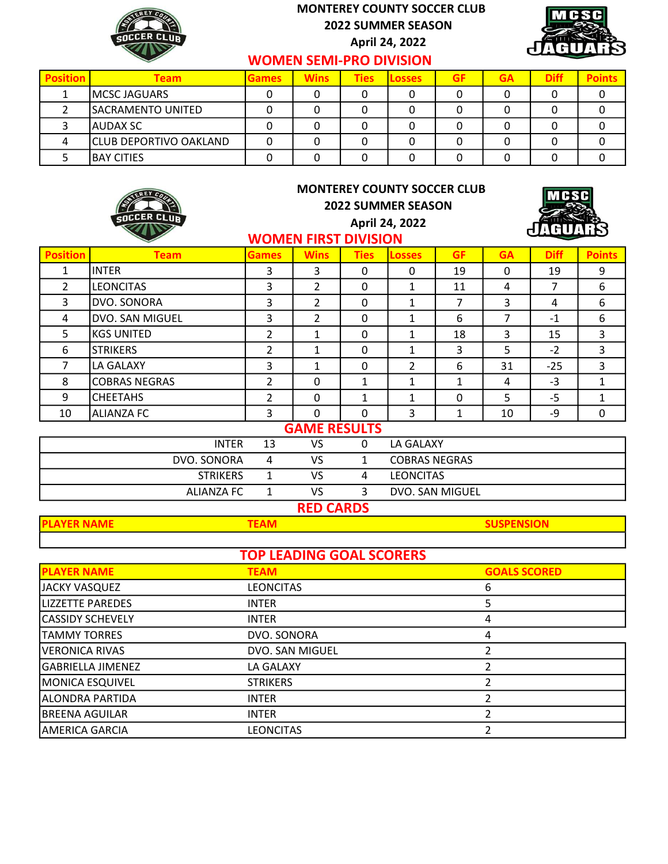

## MONTEREY COUNTY SOCCER CLUB 2022 SUMMER SEASON

April 24, 2022



## WOMEN SEMI-PRO DIVISION

| <b>Position</b> | Team                          | <b>Games</b> | <b>Wins</b> | <b>Ties</b> | <b>ILosses</b> | <b>GF</b> | <b>GA</b> | <b>Diff</b> |  |
|-----------------|-------------------------------|--------------|-------------|-------------|----------------|-----------|-----------|-------------|--|
|                 | IMCSC JAGUARS                 |              |             |             |                |           |           |             |  |
|                 | SACRAMENTO UNITED             |              |             |             |                |           |           |             |  |
|                 | AUDAX SC                      |              |             |             |                |           |           |             |  |
|                 | <b>CLUB DEPORTIVO OAKLAND</b> |              |             |             |                |           |           |             |  |
|                 | IBAY CITIES                   |              |             |             |                |           |           |             |  |

|                                   | SOCCER CLUB          | <b>MONTEREY COUNTY SOCCER CLUB</b><br><b>2022 SUMMER SEASON</b><br>April 24, 2022<br><b>WOMEN FIRST DIVISION</b> |                     |              |                      |                   |              | <b>MGSG</b><br>лнп |               |  |
|-----------------------------------|----------------------|------------------------------------------------------------------------------------------------------------------|---------------------|--------------|----------------------|-------------------|--------------|--------------------|---------------|--|
| <b>Position</b>                   | <b>Team</b>          | <b>Games</b>                                                                                                     | <b>Wins</b>         | <b>Ties</b>  | <b>Losses</b>        | <b>GF</b>         | <b>GA</b>    | <b>Diff</b>        | <b>Points</b> |  |
| $\mathbf{1}$                      | <b>INTER</b>         | 3                                                                                                                | 3                   | $\mathbf 0$  | 0                    | 19                | $\mathbf{0}$ | 19                 | 9             |  |
| $\overline{2}$                    | <b>LEONCITAS</b>     | 3                                                                                                                | $\overline{2}$      | $\mathbf 0$  | $\mathbf{1}$         | 11                | 4            | $\overline{7}$     | 6             |  |
| 3                                 | DVO. SONORA          | 3                                                                                                                | $\overline{2}$      | 0            | $\mathbf{1}$         | 7                 | 3            | 4                  | 6             |  |
| 4                                 | DVO. SAN MIGUEL      | 3                                                                                                                | $\overline{2}$      | 0            | $\mathbf{1}$         | 6                 | 7            | $-1$               | 6             |  |
| 5                                 | <b>KGS UNITED</b>    | $\overline{2}$                                                                                                   | 1                   | $\mathbf 0$  | $\mathbf{1}$         | 18                | 3            | 15                 | 3             |  |
| 6                                 | <b>STRIKERS</b>      | $\overline{2}$                                                                                                   | 1                   | 0            | $\mathbf{1}$         | 3                 | 5            | $-2$               | 3             |  |
| $\overline{7}$                    | LA GALAXY            | 3                                                                                                                | $\mathbf{1}$        | $\mathbf 0$  | $\overline{2}$       | 6                 | 31           | $-25$              | 3             |  |
| 8                                 | <b>COBRAS NEGRAS</b> | $\overline{2}$                                                                                                   | 0                   | $\mathbf{1}$ | $\mathbf{1}$         | $\mathbf{1}$      | 4            | $-3$               | $\mathbf{1}$  |  |
| 9                                 | <b>CHEETAHS</b>      | $\mathcal{P}$                                                                                                    | $\Omega$            | $\mathbf{1}$ | $\mathbf{1}$         | 0                 | 5            | $-5$               | $\mathbf{1}$  |  |
| 10                                | <b>ALIANZA FC</b>    | 3                                                                                                                | $\Omega$            | $\Omega$     | 3                    | $\mathbf{1}$      | 10           | -9                 | $\mathbf 0$   |  |
|                                   |                      |                                                                                                                  | <b>GAME RESULTS</b> |              |                      |                   |              |                    |               |  |
|                                   | <b>INTER</b>         | 13                                                                                                               | VS                  | 0            | LA GALAXY            |                   |              |                    |               |  |
|                                   | DVO. SONORA          | 4                                                                                                                | <b>VS</b>           | $\mathbf{1}$ | <b>COBRAS NEGRAS</b> |                   |              |                    |               |  |
|                                   | <b>STRIKERS</b>      | $\mathbf{1}$                                                                                                     | VS                  | 4            | <b>LEONCITAS</b>     |                   |              |                    |               |  |
|                                   | <b>ALIANZA FC</b>    | $\mathbf{1}$                                                                                                     | VS                  | 3            | DVO. SAN MIGUEL      |                   |              |                    |               |  |
| <b>RED CARDS</b>                  |                      |                                                                                                                  |                     |              |                      |                   |              |                    |               |  |
| <b>PLAYER NAME</b><br><b>TEAM</b> |                      |                                                                                                                  |                     |              |                      | <b>SUSPENSION</b> |              |                    |               |  |

| <b>TOP LEADING GOAL SCORERS</b> |                  |                     |  |  |  |  |
|---------------------------------|------------------|---------------------|--|--|--|--|
| <b>PLAYER NAME</b>              | <b>TEAM</b>      | <b>GOALS SCORED</b> |  |  |  |  |
| IJACKY VASQUEZ                  | <b>LEONCITAS</b> | 6                   |  |  |  |  |
| <b>LIZZETTE PAREDES</b>         | <b>INTER</b>     |                     |  |  |  |  |
| CASSIDY SCHEVELY                | <b>INTER</b>     | 4                   |  |  |  |  |
| <b>TAMMY TORRES</b>             | DVO. SONORA      | 4                   |  |  |  |  |
| VERONICA RIVAS                  | DVO. SAN MIGUEL  |                     |  |  |  |  |
| GABRIELLA JIMENEZ               | LA GALAXY        |                     |  |  |  |  |
| MONICA ESQUIVEL                 | <b>STRIKERS</b>  |                     |  |  |  |  |
| ALONDRA PARTIDA                 | <b>INTER</b>     |                     |  |  |  |  |
| <b>BREENA AGUILAR</b>           | <b>INTER</b>     |                     |  |  |  |  |
| AMERICA GARCIA                  | LEONCITAS        |                     |  |  |  |  |